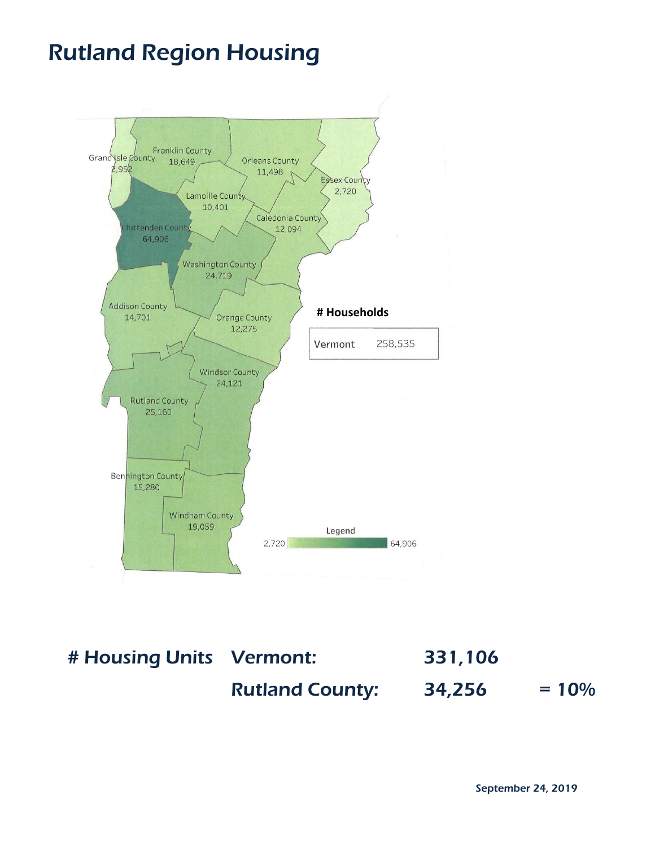

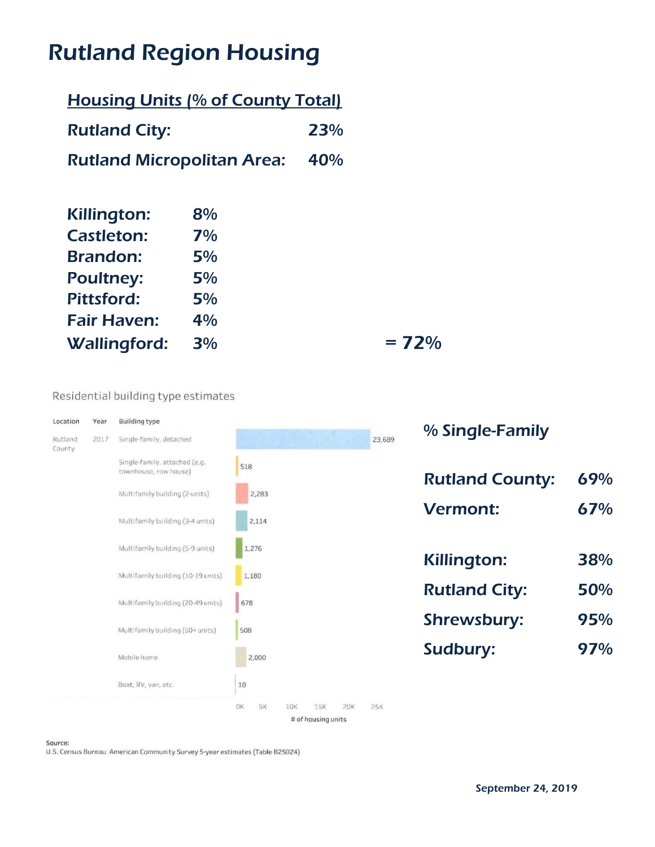| <b>Housing Units (% of County Total)</b> |  |  |  |
|------------------------------------------|--|--|--|
|                                          |  |  |  |

Rutland City: 23%

Rutland Micropolitan Area: 40%

| Killington:         | 8% |
|---------------------|----|
| <b>Castleton:</b>   | 7% |
| <b>Brandon:</b>     | 5% |
| <b>Poultney:</b>    | 5% |
| <b>Pittsford:</b>   | 5% |
| <b>Fair Haven:</b>  | 4% |
| <b>Wallingford:</b> | 3% |

 $= 72%$ 

#### Residential building type estimates

| Location          | Year | <b>Building type</b>                                   |                                                                                         |                        |     |
|-------------------|------|--------------------------------------------------------|-----------------------------------------------------------------------------------------|------------------------|-----|
| Rutland<br>County | 2017 | Single-family, detached                                | 23,689                                                                                  | % Single-Family        |     |
|                   |      | Single-family, attached (e.g.<br>townhouse, row house) | 518                                                                                     | <b>Rutland County:</b> | 69% |
|                   |      | Multifamily building (2-units)                         | 2,283                                                                                   |                        |     |
|                   |      | Multifamily building (3-4 units)                       | 2,114                                                                                   | <b>Vermont:</b>        | 67% |
|                   |      | Multifamily building (5-9 units)                       | 1,276                                                                                   |                        |     |
|                   |      | Multifamily building (10-19 units)                     | 1,180                                                                                   | Killington:            | 38% |
|                   |      |                                                        |                                                                                         | <b>Rutland City:</b>   | 50% |
|                   |      | Multifamily building (20-49 units)                     | 678                                                                                     |                        |     |
|                   |      | Multifamily building (50+ units)                       | 508                                                                                     | <b>Shrewsbury:</b>     | 95% |
|                   |      | Mobile home                                            | 2,000                                                                                   | Sudbury:               | 97% |
|                   |      | Boat, RV, van, etc.                                    | 10                                                                                      |                        |     |
|                   |      |                                                        | <b>SK</b><br>10K<br>15K<br>25K<br>OK<br><b>20K</b><br><b>Contract Contract Contract</b> |                        |     |

# of housing units

#### Source:

U.S. Census Bureau: American Community Survey 5-year estimates (Table B25024)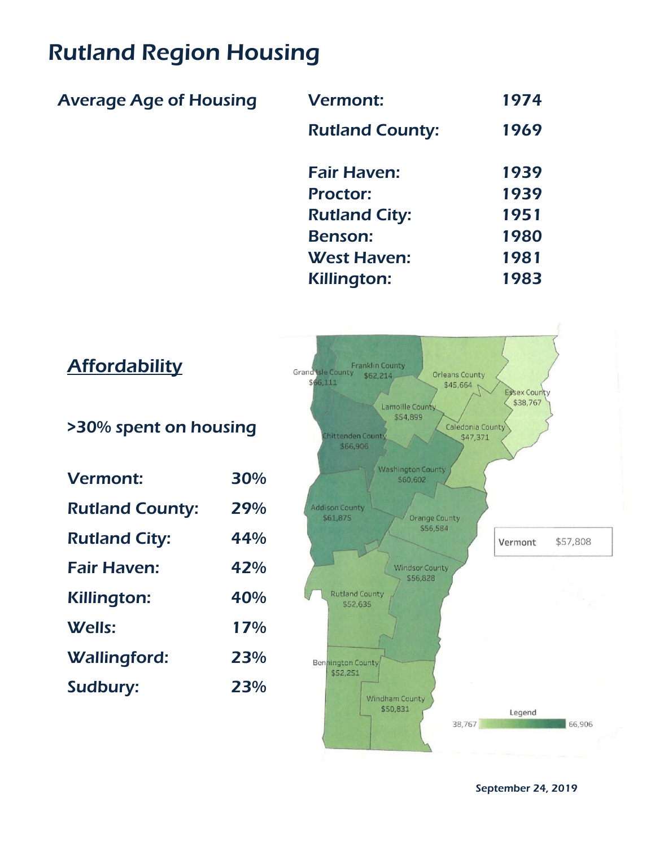### Average Age of Housing

| <b>Vermont:</b>        | 1974 |
|------------------------|------|
| <b>Rutland County:</b> | 1969 |
| <b>Fair Haven:</b>     | 1939 |
| <b>Proctor:</b>        | 1939 |
| <b>Rutland City:</b>   | 1951 |
| <b>Benson:</b>         | 1980 |
| <b>West Haven:</b>     | 1981 |
| Killington:            | 1983 |

| <b>Affordability</b>   |     | <b>Franklin County</b><br><b>Grand Isle County</b><br>Orleans County<br>\$62,214<br>\$66,111<br>\$45,664<br><b>Essex County</b> |
|------------------------|-----|---------------------------------------------------------------------------------------------------------------------------------|
| >30% spent on housing  |     | \$38,767<br>Lamoille County<br>\$54,899<br>Caledonia County<br>Chittenden County<br>\$47,371<br>\$66,906                        |
| <b>Vermont:</b>        | 30% | <b>Washington County</b><br>\$60,602                                                                                            |
| <b>Rutland County:</b> | 29% | <b>Addison County</b><br>\$61,875<br><b>Orange County</b>                                                                       |
| <b>Rutland City:</b>   | 44% | \$56,584<br>\$57,808<br>Vermont                                                                                                 |
| <b>Fair Haven:</b>     | 42% | <b>Windsor County</b><br>\$56,828                                                                                               |
| Killington:            | 40% | <b>Rutland County</b><br>\$52,635                                                                                               |
| <b>Wells:</b>          | 17% |                                                                                                                                 |
| <b>Wallingford:</b>    | 23% | <b>Bennington County</b>                                                                                                        |
| Sudbury:               | 23% | \$52,251<br>Windham County                                                                                                      |
|                        |     | \$50,831<br>Legend<br>66,906<br>38,767                                                                                          |

September 24, 2019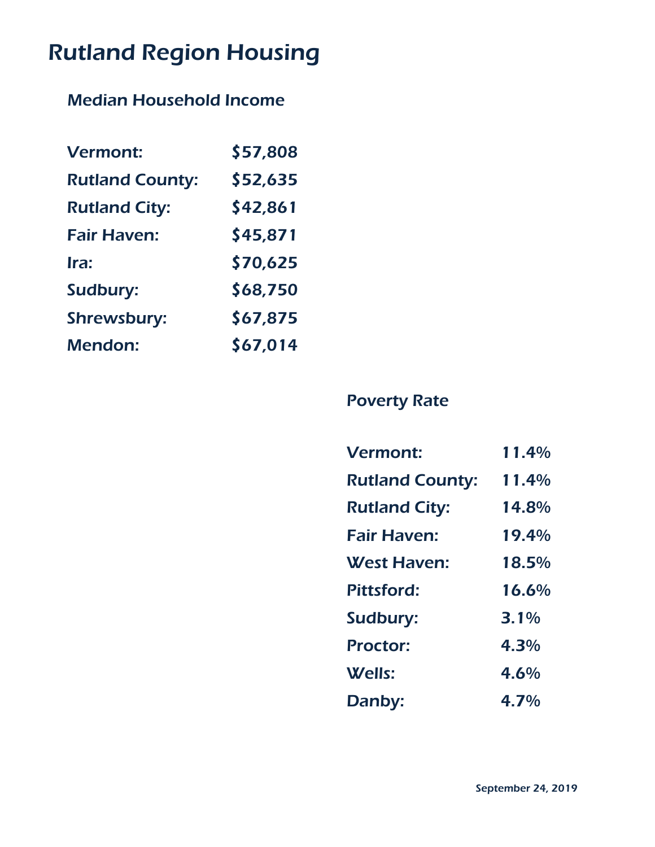#### Median Household Income

| <b>Vermont:</b>        | \$57,808 |
|------------------------|----------|
| <b>Rutland County:</b> | \$52,635 |
| <b>Rutland City:</b>   | \$42,861 |
| <b>Fair Haven:</b>     | \$45,871 |
| Ira:                   | \$70,625 |
| Sudbury:               | \$68,750 |
| <b>Shrewsbury:</b>     | \$67,875 |
| <b>Mendon:</b>         | \$67,014 |

### Poverty Rate

| <b>Vermont:</b>        | 11.4%   |
|------------------------|---------|
| <b>Rutland County:</b> | 11.4%   |
| <b>Rutland City:</b>   | 14.8%   |
| <b>Fair Haven:</b>     | 19.4%   |
| <b>West Haven:</b>     | 18.5%   |
| <b>Pittsford:</b>      | 16.6%   |
| Sudbury:               | $3.1\%$ |
| <b>Proctor:</b>        | 4.3%    |
| <b>Wells:</b>          | 4.6%    |
| Danby:                 | 4.7%    |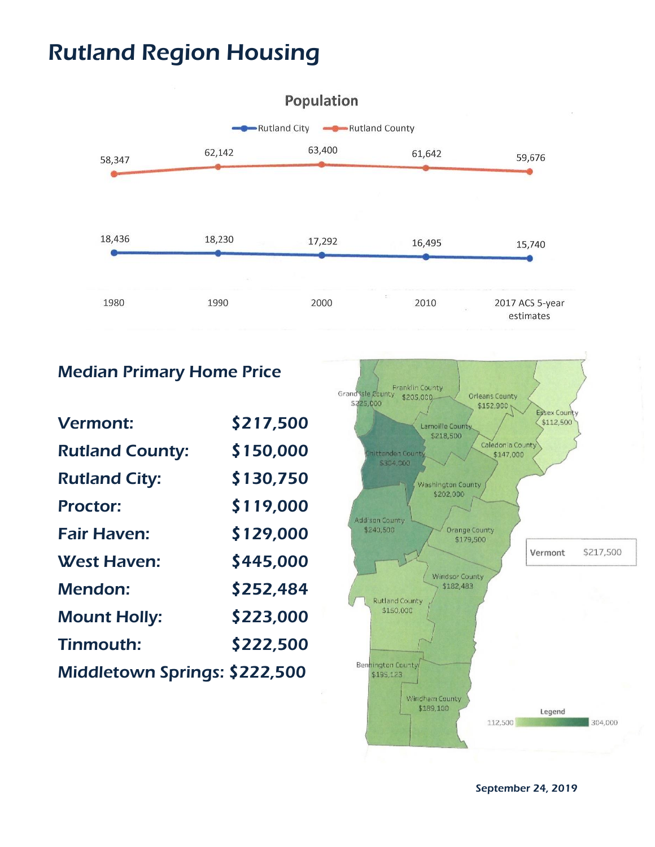

#### Median Primary Home Price

| <b>Vermont:</b>               | \$217,500 |
|-------------------------------|-----------|
| <b>Rutland County:</b>        | \$150,000 |
| <b>Rutland City:</b>          | \$130,750 |
| <b>Proctor:</b>               | \$119,000 |
| <b>Fair Haven:</b>            | \$129,000 |
| <b>West Haven:</b>            | \$445,000 |
| <b>Mendon:</b>                | \$252,484 |
| <b>Mount Holly:</b>           | \$223,000 |
| <b>Tinmouth:</b>              | \$222,500 |
| Middletown Springs: \$222,500 |           |
|                               |           |



September 24, 2019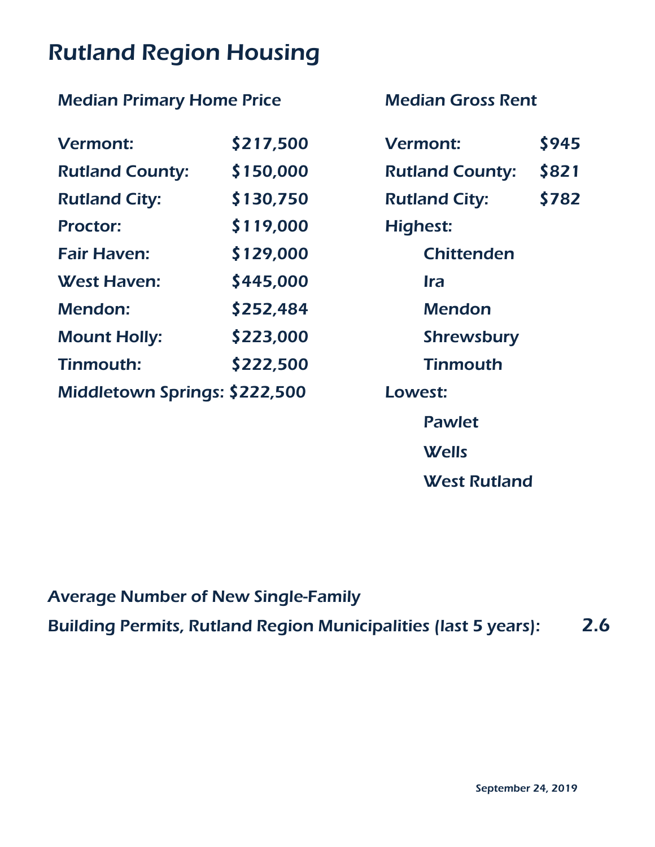| <b>Median Primary Home Price</b> |  |
|----------------------------------|--|
|                                  |  |

| <b>Vermont:</b>               | \$217,500 | <b>Vermont:</b>        | \$945 |
|-------------------------------|-----------|------------------------|-------|
| <b>Rutland County:</b>        | \$150,000 | <b>Rutland County:</b> | \$821 |
| <b>Rutland City:</b>          | \$130,750 | <b>Rutland City:</b>   | \$782 |
| <b>Proctor:</b>               | \$119,000 | <b>Highest:</b>        |       |
| <b>Fair Haven:</b>            | \$129,000 | <b>Chittenden</b>      |       |
| <b>West Haven:</b>            | \$445,000 | <b>Ira</b>             |       |
| <b>Mendon:</b>                | \$252,484 | <b>Mendon</b>          |       |
| <b>Mount Holly:</b>           | \$223,000 | <b>Shrewsbury</b>      |       |
| <b>Tinmouth:</b>              | \$222,500 | <b>Tinmouth</b>        |       |
| Middletown Springs: \$222,500 |           | Lowest:                |       |

**Median Gross Rent** 

| <b>Vermont:</b>        | \$945 |
|------------------------|-------|
| <b>Rutland County:</b> | \$821 |
| <b>Rutland City:</b>   | \$782 |
| Highest:               |       |
| <b>Chittenden</b>      |       |
| Ira                    |       |
| Mendon                 |       |
| <b>Shrewsbury</b>      |       |
| <b>Tinmouth</b>        |       |
| Lowest:                |       |
| <b>Pawlet</b>          |       |
| <b>Wells</b>           |       |
| <b>West Rutland</b>    |       |

Average Number of New Single-Family Building Permits, Rutland Region Municipalities (last 5 years): 2.6